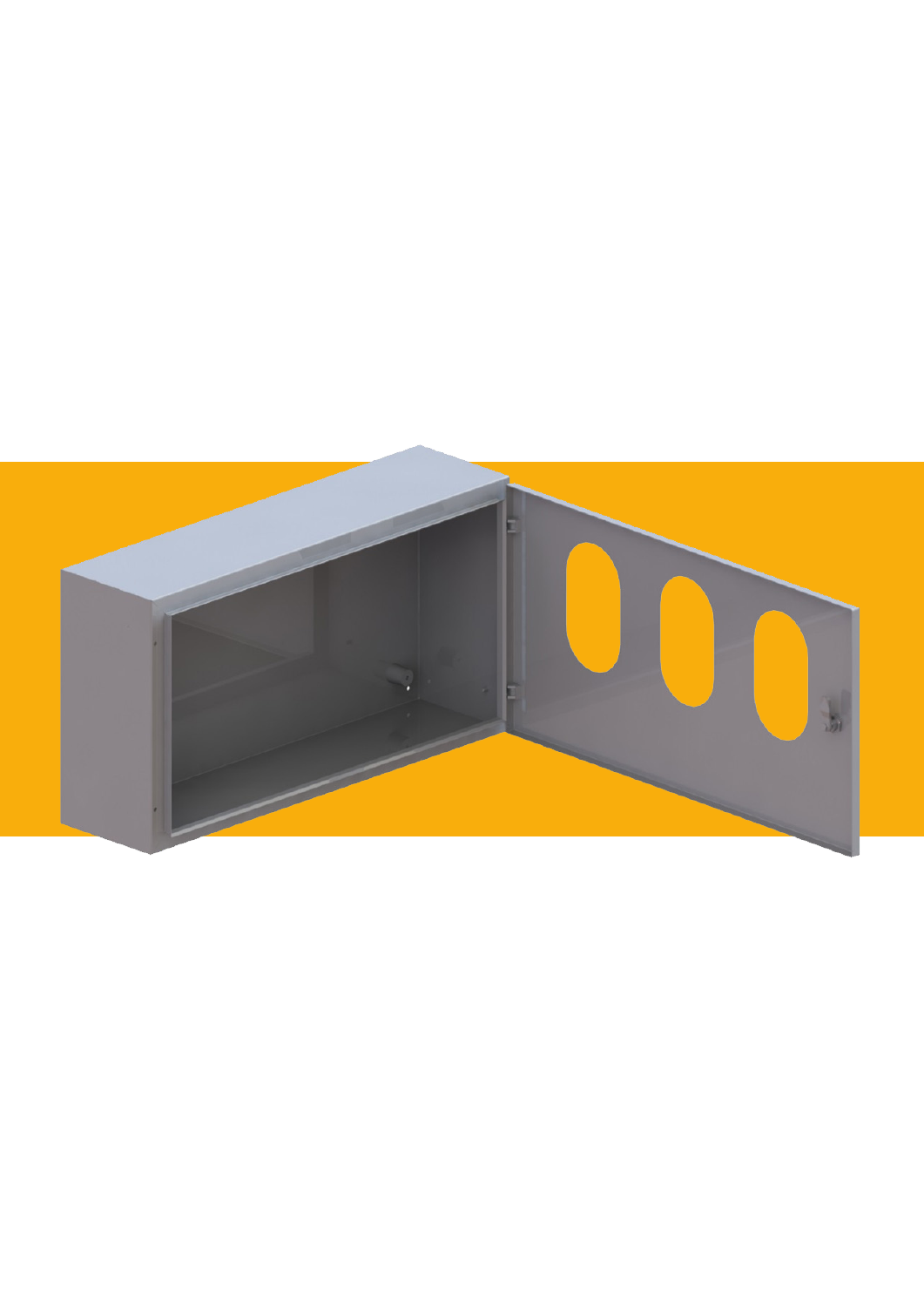